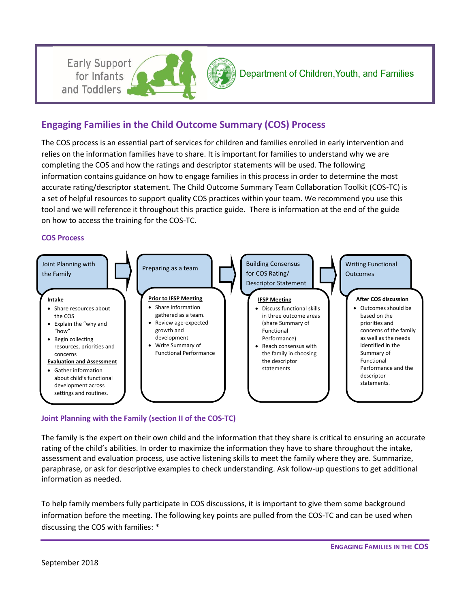



# **Engaging Families in the Child Outcome Summary (COS) Process**

The COS process is an essential part of services for children and families enrolled in early intervention and relies on the information families have to share. It is important for families to understand why we are completing the COS and how the ratings and descriptor statements will be used. The following information contains guidance on how to engage families in this process in order to determine the most accurate rating/descriptor statement. The Child Outcome Summary Team Collaboration Toolkit (COS-TC) is a set of helpful resources to support quality COS practices within your team. We recommend you use this tool and we will reference it throughout this practice guide. There is information at the end of the guide on how to access the training for the COS-TC.

#### **COS Process**

for Infants and Toddlers



#### **Joint Planning with the Family (section II of the COS-TC)**

The family is the expert on their own child and the information that they share is critical to ensuring an accurate rating of the child's abilities. In order to maximize the information they have to share throughout the intake, assessment and evaluation process, use active listening skills to meet the family where they are. Summarize, paraphrase, or ask for descriptive examples to check understanding. Ask follow-up questions to get additional information as needed.

To help family members fully participate in COS discussions, it is important to give them some background information before the meeting. The following key points are pulled from the COS-TC and can be used when discussing the COS with families: \*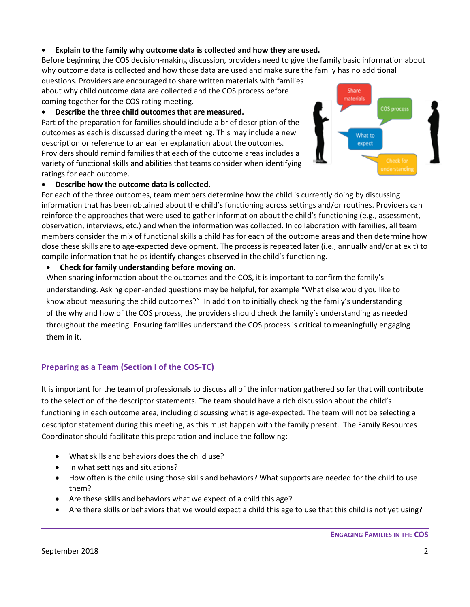# **Explain to the family why outcome data is collected and how they are used.**

Before beginning the COS decision-making discussion, providers need to give the family basic information about why outcome data is collected and how those data are used and make sure the family has no additional

questions. Providers are encouraged to share written materials with families about why child outcome data are collected and the COS process before coming together for the COS rating meeting.

# **Describe the three child outcomes that are measured.**

Part of the preparation for families should include a brief description of the outcomes as each is discussed during the meeting. This may include a new description or reference to an earlier explanation about the outcomes. Providers should remind families that each of the outcome areas includes a variety of functional skills and abilities that teams consider when identifying ratings for each outcome.



# **Describe how the outcome data is collected.**

For each of the three outcomes, team members determine how the child is currently doing by discussing information that has been obtained about the child's functioning across settings and/or routines. Providers can reinforce the approaches that were used to gather information about the child's functioning (e.g., assessment, observation, interviews, etc.) and when the information was collected. In collaboration with families, all team members consider the mix of functional skills a child has for each of the outcome areas and then determine how close these skills are to age-expected development. The process is repeated later (i.e., annually and/or at exit) to compile information that helps identify changes observed in the child's functioning.

# **Check for family understanding before moving on.**

When sharing information about the outcomes and the COS, it is important to confirm the family's understanding. Asking open-ended questions may be helpful, for example "What else would you like to know about measuring the child outcomes?" In addition to initially checking the family's understanding of the why and how of the COS process, the providers should check the family's understanding as needed throughout the meeting. Ensuring families understand the COS process is critical to meaningfully engaging them in it.

# **Preparing as a Team (Section I of the COS-TC)**

It is important for the team of professionals to discuss all of the information gathered so far that will contribute to the selection of the descriptor statements. The team should have a rich discussion about the child's functioning in each outcome area, including discussing what is age-expected. The team will not be selecting a descriptor statement during this meeting, as this must happen with the family present. The Family Resources Coordinator should facilitate this preparation and include the following:

- What skills and behaviors does the child use?
- In what settings and situations?
- How often is the child using those skills and behaviors? What supports are needed for the child to use them?
- Are these skills and behaviors what we expect of a child this age?
- Are there skills or behaviors that we would expect a child this age to use that this child is not yet using?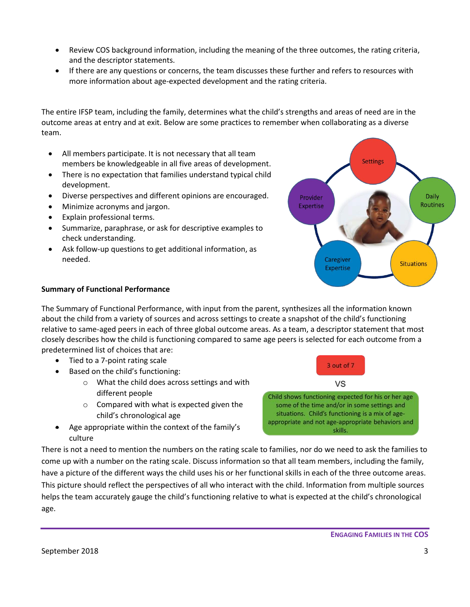- Review COS background information, including the meaning of the three outcomes, the rating criteria, and the descriptor statements.
- If there are any questions or concerns, the team discusses these further and refers to resources with more information about age-expected development and the rating criteria.

The entire IFSP team, including the family, determines what the child's strengths and areas of need are in the outcome areas at entry and at exit. Below are some practices to remember when collaborating as a diverse team.

- All members participate. It is not necessary that all team members be knowledgeable in all five areas of development.
- There is no expectation that families understand typical child development.
- Diverse perspectives and different opinions are encouraged.
- Minimize acronyms and jargon.
- Explain professional terms.
- Summarize, paraphrase, or ask for descriptive examples to check understanding.
- Ask follow-up questions to get additional information, as needed.



#### **Summary of Functional Performance**

The Summary of Functional Performance, with input from the parent, synthesizes all the information known about the child from a variety of sources and across settings to create a snapshot of the child's functioning relative to same-aged peers in each of three global outcome areas. As a team, a descriptor statement that most closely describes how the child is functioning compared to same age peers is selected for each outcome from a predetermined list of choices that are:

- Tied to a 7-point rating scale
- Based on the child's functioning:
	- o What the child does across settings and with different people
	- o Compared with what is expected given the child's chronological age
- Age appropriate within the context of the family's culture

There is not a need to mention the numbers on the rating scale to families, nor do we need to ask the families to come up with a number on the rating scale. Discuss information so that all team members, including the family, have a picture of the different ways the child uses his or her functional skills in each of the three outcome areas. This picture should reflect the perspectives of all who interact with the child. Information from multiple sources helps the team accurately gauge the child's functioning relative to what is expected at the child's chronological age.

3 out of 7

VS Child shows functioning expected for his or her age

some of the time and/or in some settings and situations. Child's functioning is a mix of ageappropriate and not age-appropriate behaviors and

skills.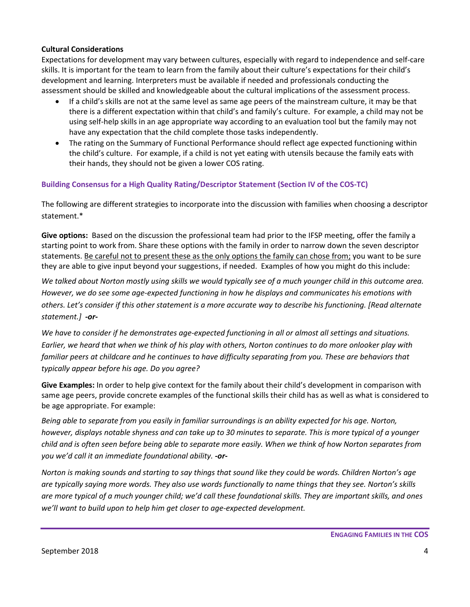# **Cultural Considerations**

Expectations for development may vary between cultures, especially with regard to independence and self-care skills. It is important for the team to learn from the family about their culture's expectations for their child's development and learning. Interpreters must be available if needed and professionals conducting the assessment should be skilled and knowledgeable about the cultural implications of the assessment process.

- If a child's skills are not at the same level as same age peers of the mainstream culture, it may be that there is a different expectation within that child's and family's culture. For example, a child may not be using self-help skills in an age appropriate way according to an evaluation tool but the family may not have any expectation that the child complete those tasks independently.
- The rating on the Summary of Functional Performance should reflect age expected functioning within the child's culture. For example, if a child is not yet eating with utensils because the family eats with their hands, they should not be given a lower COS rating.

# **Building Consensus for a High Quality Rating/Descriptor Statement (Section IV of the COS-TC)**

The following are different strategies to incorporate into the discussion with families when choosing a descriptor statement.\*

**Give options:** Based on the discussion the professional team had prior to the IFSP meeting, offer the family a starting point to work from. Share these options with the family in order to narrow down the seven descriptor statements. Be careful not to present these as the only options the family can chose from; you want to be sure they are able to give input beyond your suggestions, if needed.Examples of how you might do this include:

*We talked about Norton mostly using skills we would typically see of a much younger child in this outcome area. However, we do see some age-expected functioning in how he displays and communicates his emotions with others. Let's consider if this other statement is a more accurate way to describe his functioning. [Read alternate statement.] -or-*

*We have to consider if he demonstrates age-expected functioning in all or almost all settings and situations. Earlier, we heard that when we think of his play with others, Norton continues to do more onlooker play with*  familiar peers at childcare and he continues to have difficulty separating from you. These are behaviors that *typically appear before his age. Do you agree?* 

**Give Examples:** In order to help give context for the family about their child's development in comparison with same age peers, provide concrete examples of the functional skills their child has as well as what is considered to be age appropriate. For example:

*Being able to separate from you easily in familiar surroundings is an ability expected for his age. Norton, however, displays notable shyness and can take up to 30 minutes to separate. This is more typical of a younger child and is often seen before being able to separate more easily. When we think of how Norton separates from you we'd call it an immediate foundational ability. -or-*

*Norton is making sounds and starting to say things that sound like they could be words. Children Norton's age are typically saying more words. They also use words functionally to name things that they see. Norton's skills are more typical of a much younger child; we'd call these foundational skills. They are important skills, and ones we'll want to build upon to help him get closer to age-expected development.*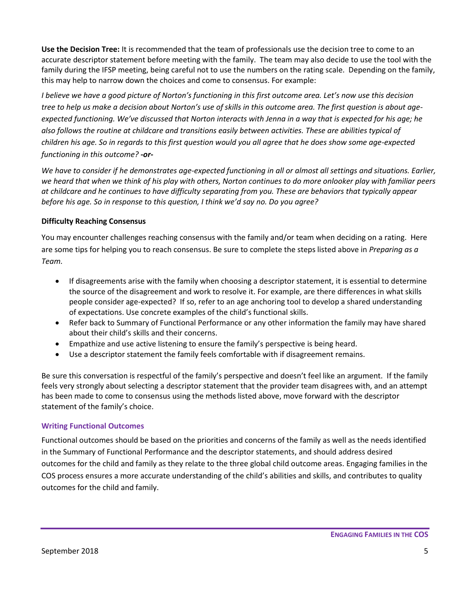**Use the Decision Tree:** It is recommended that the team of professionals use the decision tree to come to an accurate descriptor statement before meeting with the family. The team may also decide to use the tool with the family during the IFSP meeting, being careful not to use the numbers on the rating scale. Depending on the family, this may help to narrow down the choices and come to consensus. For example:

*I believe we have a good picture of Norton's functioning in this first outcome area. Let's now use this decision tree to help us make a decision about Norton's use of skills in this outcome area. The first question is about ageexpected functioning. We've discussed that Norton interacts with Jenna in a way that is expected for his age; he also follows the routine at childcare and transitions easily between activities. These are abilities typical of children his age. So in regards to this first question would you all agree that he does show some age-expected functioning in this outcome? -or-*

*We have to consider if he demonstrates age-expected functioning in all or almost all settings and situations. Earlier, we heard that when we think of his play with others, Norton continues to do more onlooker play with familiar peers at childcare and he continues to have difficulty separating from you. These are behaviors that typically appear before his age. So in response to this question, I think we'd say no. Do you agree?* 

# **Difficulty Reaching Consensus**

You may encounter challenges reaching consensus with the family and/or team when deciding on a rating. Here are some tips for helping you to reach consensus. Be sure to complete the steps listed above in *Preparing as a Team.*

- If disagreements arise with the family when choosing a descriptor statement, it is essential to determine the source of the disagreement and work to resolve it. For example, are there differences in what skills people consider age-expected? If so, refer to an age anchoring tool to develop a shared understanding of expectations. Use concrete examples of the child's functional skills.
- Refer back to Summary of Functional Performance or any other information the family may have shared about their child's skills and their concerns.
- Empathize and use active listening to ensure the family's perspective is being heard.
- Use a descriptor statement the family feels comfortable with if disagreement remains.

Be sure this conversation is respectful of the family's perspective and doesn't feel like an argument. If the family feels very strongly about selecting a descriptor statement that the provider team disagrees with, and an attempt has been made to come to consensus using the methods listed above, move forward with the descriptor statement of the family's choice.

#### **Writing Functional Outcomes**

Functional outcomes should be based on the priorities and concerns of the family as well as the needs identified in the Summary of Functional Performance and the descriptor statements, and should address desired outcomes for the child and family as they relate to the three global child outcome areas. Engaging families in the COS process ensures a more accurate understanding of the child's abilities and skills, and contributes to quality outcomes for the child and family.